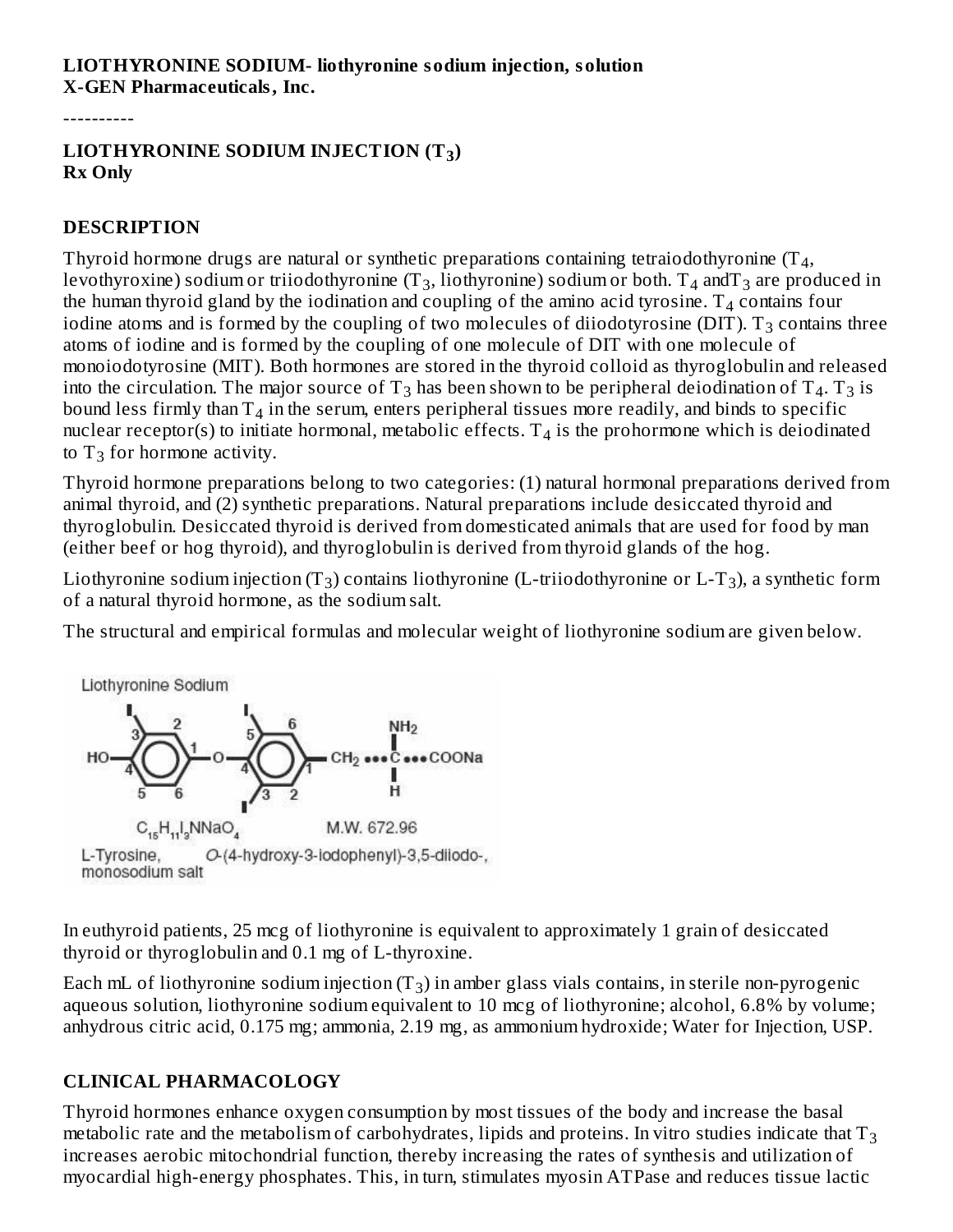#### **LIOTHYRONINE SODIUM- liothyronine sodium injection, solution X-GEN Pharmaceuticals, Inc.**

----------

#### **LIOTHYRONINE SODIUM INJECTION (T ) 3 Rx Only**

#### **DESCRIPTION**

Thyroid hormone drugs are natural or synthetic preparations containing tetraiodothyronine (T<sub>4</sub>, levothyroxine) sodium or triiodothyronine (T $_{3}$ , liothyronine) sodium or both. T $_{4}$  andT $_{3}$  are produced in the human thyroid gland by the iodination and coupling of the amino acid tyrosine.  $T_4$  contains four iodine atoms and is formed by the coupling of two molecules of diiodotyrosine (DIT).  $\texttt{T}_3$  contains three atoms of iodine and is formed by the coupling of one molecule of DIT with one molecule of monoiodotyrosine (MIT). Both hormones are stored in the thyroid colloid as thyroglobulin and released into the circulation. The major source of  $\text{T}_3$  has been shown to be peripheral deiodination of  $\text{T}_4$ .  $\text{T}_3$  is bound less firmly than  $T_{\bf 4}$  in the serum, enters peripheral tissues more readily, and binds to specific nuclear receptor(s) to initiate hormonal, metabolic effects.  $T_4$  is the prohormone which is deiodinated to  $T_3$  for hormone activity.

Thyroid hormone preparations belong to two categories: (1) natural hormonal preparations derived from animal thyroid, and (2) synthetic preparations. Natural preparations include desiccated thyroid and thyroglobulin. Desiccated thyroid is derived from domesticated animals that are used for food by man (either beef or hog thyroid), and thyroglobulin is derived from thyroid glands of the hog.

Liothyronine sodium injection (T3) contains liothyronine (L-triiodothyronine or L-T3), a synthetic form of a natural thyroid hormone, as the sodium salt.

The structural and empirical formulas and molecular weight of liothyronine sodium are given below.



In euthyroid patients, 25 mcg of liothyronine is equivalent to approximately 1 grain of desiccated thyroid or thyroglobulin and 0.1 mg of L-thyroxine.

Each mL of liothyronine sodium injection (T $_3$ ) in amber glass vials contains, in sterile non-pyrogenic aqueous solution, liothyronine sodium equivalent to 10 mcg of liothyronine; alcohol, 6.8% by volume; anhydrous citric acid, 0.175 mg; ammonia, 2.19 mg, as ammonium hydroxide; Water for Injection, USP.

#### **CLINICAL PHARMACOLOGY**

Thyroid hormones enhance oxygen consumption by most tissues of the body and increase the basal metabolic rate and the metabolism of carbohydrates, lipids and proteins. In vitro studies indicate that  $\text{T}_3$ increases aerobic mitochondrial function, thereby increasing the rates of synthesis and utilization of myocardial high-energy phosphates. This, in turn, stimulates myosin ATPase and reduces tissue lactic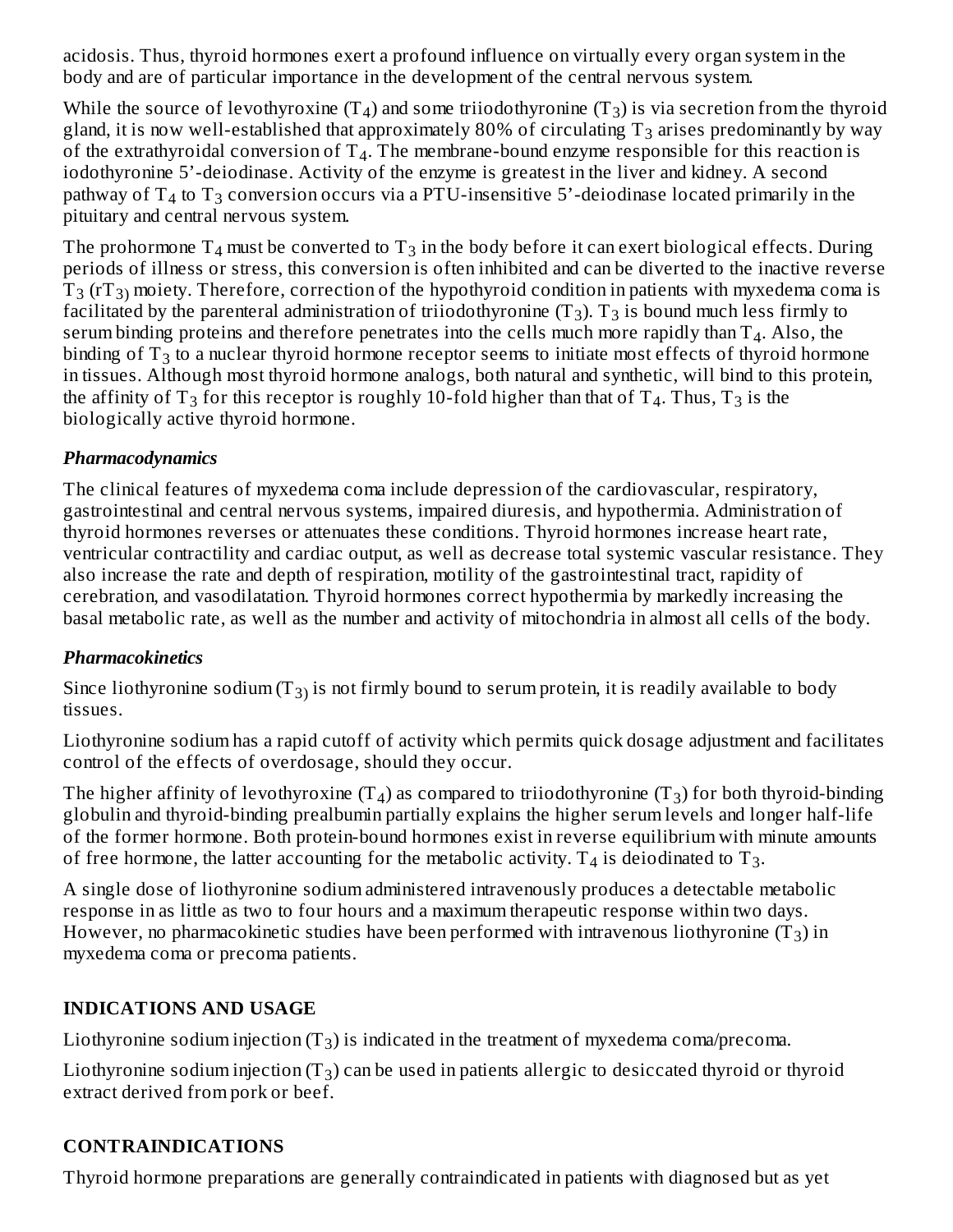acidosis. Thus, thyroid hormones exert a profound influence on virtually every organ system in the body and are of particular importance in the development of the central nervous system.

While the source of levothyroxine (T<sub>4</sub>) and some triiodothyronine (T<sub>3</sub>) is via secretion from the thyroid gland, it is now well-established that approximately 80% of circulating  $\text{T}_3$  arises predominantly by way of the extrathyroidal conversion of  $T_{4}$ . The membrane-bound enzyme responsible for this reaction is iodothyronine 5'-deiodinase. Activity of the enzyme is greatest in the liver and kidney. A second pathway of T<sub>4</sub> to T<sub>3</sub> conversion occurs via a PTU-insensitive 5'-deiodinase located primarily in the pituitary and central nervous system.

The prohormone  $\rm T_4$  must be converted to  $\rm T_3$  in the body before it can exert biological effects. During periods of illness or stress, this conversion is often inhibited and can be diverted to the inactive reverse  $T_{3}$  (r $T_{3}$ ) moiety. Therefore, correction of the hypothyroid condition in patients with myxedema coma is facilitated by the parenteral administration of triiodothyronine (T<sub>3</sub>). T<sub>3</sub> is bound much less firmly to serum binding proteins and therefore penetrates into the cells much more rapidly than  $T_{\bf 4}.$  Also, the binding of  $\text{T}_3$  to a nuclear thyroid hormone receptor seems to initiate most effects of thyroid hormone in tissues. Although most thyroid hormone analogs, both natural and synthetic, will bind to this protein, the affinity of  $T_3$  for this receptor is roughly 10-fold higher than that of  $T_4$ . Thus,  $T_3$  is the biologically active thyroid hormone.

### *Pharmacodynamics*

The clinical features of myxedema coma include depression of the cardiovascular, respiratory, gastrointestinal and central nervous systems, impaired diuresis, and hypothermia. Administration of thyroid hormones reverses or attenuates these conditions. Thyroid hormones increase heart rate, ventricular contractility and cardiac output, as well as decrease total systemic vascular resistance. They also increase the rate and depth of respiration, motility of the gastrointestinal tract, rapidity of cerebration, and vasodilatation. Thyroid hormones correct hypothermia by markedly increasing the basal metabolic rate, as well as the number and activity of mitochondria in almost all cells of the body.

### *Pharmacokinetics*

Since liothyronine sodium (T<sub>3)</sub> is not firmly bound to serum protein, it is readily available to body tissues.

Liothyronine sodium has a rapid cutoff of activity which permits quick dosage adjustment and facilitates control of the effects of overdosage, should they occur.

The higher affinity of levothyroxine (T<sub>4</sub>) as compared to triiodothyronine (T<sub>3</sub>) for both thyroid-binding globulin and thyroid-binding prealbumin partially explains the higher serum levels and longer half-life of the former hormone. Both protein-bound hormones exist in reverse equilibrium with minute amounts of free hormone, the latter accounting for the metabolic activity.  $T_4$  is deiodinated to  $T_3$ .

A single dose of liothyronine sodium administered intravenously produces a detectable metabolic response in as little as two to four hours and a maximum therapeutic response within two days. However, no pharmacokinetic studies have been performed with intravenous liothyronine (T $_{\rm 3}$ ) in myxedema coma or precoma patients.

# **INDICATIONS AND USAGE**

Liothyronine sodium injection (T<sub>3</sub>) is indicated in the treatment of myxedema coma/precoma.

Liothyronine sodium injection (T $_3$ ) can be used in patients allergic to desiccated thyroid or thyroid extract derived from pork or beef.

# **CONTRAINDICATIONS**

Thyroid hormone preparations are generally contraindicated in patients with diagnosed but as yet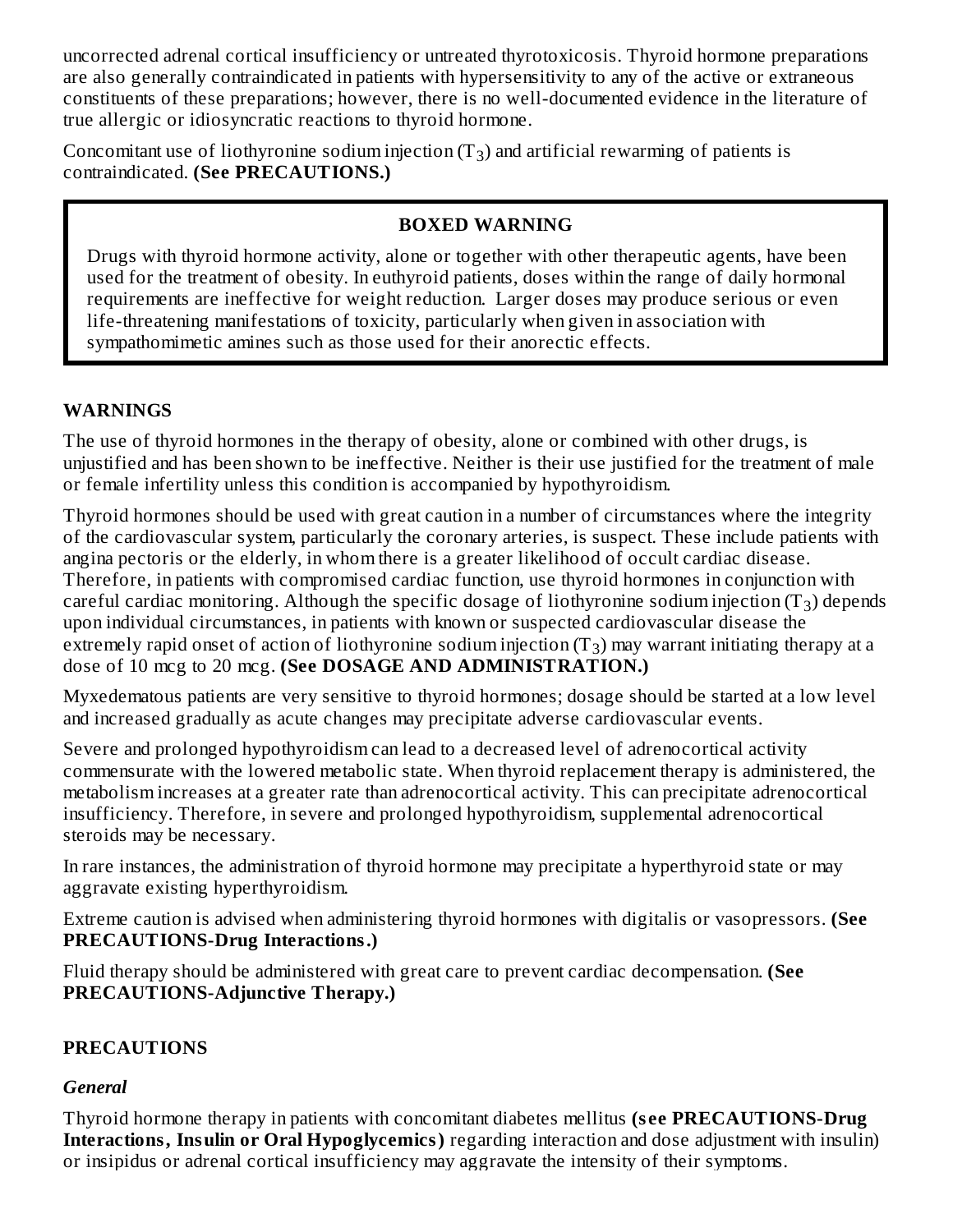uncorrected adrenal cortical insufficiency or untreated thyrotoxicosis. Thyroid hormone preparations are also generally contraindicated in patients with hypersensitivity to any of the active or extraneous constituents of these preparations; however, there is no well-documented evidence in the literature of true allergic or idiosyncratic reactions to thyroid hormone.

Concomitant use of liothyronine sodium injection (T<sub>3</sub>) and artificial rewarming of patients is contraindicated. **(See PRECAUTIONS.)**

### **BOXED WARNING**

Drugs with thyroid hormone activity, alone or together with other therapeutic agents, have been used for the treatment of obesity. In euthyroid patients, doses within the range of daily hormonal requirements are ineffective for weight reduction. Larger doses may produce serious or even life-threatening manifestations of toxicity, particularly when given in association with sympathomimetic amines such as those used for their anorectic effects.

#### **WARNINGS**

The use of thyroid hormones in the therapy of obesity, alone or combined with other drugs, is unjustified and has been shown to be ineffective. Neither is their use justified for the treatment of male or female infertility unless this condition is accompanied by hypothyroidism.

Thyroid hormones should be used with great caution in a number of circumstances where the integrity of the cardiovascular system, particularly the coronary arteries, is suspect. These include patients with angina pectoris or the elderly, in whom there is a greater likelihood of occult cardiac disease. Therefore, in patients with compromised cardiac function, use thyroid hormones in conjunction with careful cardiac monitoring. Although the specific dosage of liothyronine sodium injection (T<sub>3</sub>) depends upon individual circumstances, in patients with known or suspected cardiovascular disease the extremely rapid onset of action of liothyronine sodium injection (T $_3$ ) may warrant initiating therapy at a dose of 10 mcg to 20 mcg. **(See DOSAGE AND ADMINISTRATION.)**

Myxedematous patients are very sensitive to thyroid hormones; dosage should be started at a low level and increased gradually as acute changes may precipitate adverse cardiovascular events.

Severe and prolonged hypothyroidism can lead to a decreased level of adrenocortical activity commensurate with the lowered metabolic state. When thyroid replacement therapy is administered, the metabolism increases at a greater rate than adrenocortical activity. This can precipitate adrenocortical insufficiency. Therefore, in severe and prolonged hypothyroidism, supplemental adrenocortical steroids may be necessary.

In rare instances, the administration of thyroid hormone may precipitate a hyperthyroid state or may aggravate existing hyperthyroidism.

Extreme caution is advised when administering thyroid hormones with digitalis or vasopressors. **(See PRECAUTIONS-Drug Interactions.)**

Fluid therapy should be administered with great care to prevent cardiac decompensation. **(See PRECAUTIONS-Adjunctive Therapy.)**

#### **PRECAUTIONS**

#### *General*

Thyroid hormone therapy in patients with concomitant diabetes mellitus **(s ee PRECAUTIONS-Drug Interactions, Insulin or Oral Hypoglycemics)** regarding interaction and dose adjustment with insulin) or insipidus or adrenal cortical insufficiency may aggravate the intensity of their symptoms.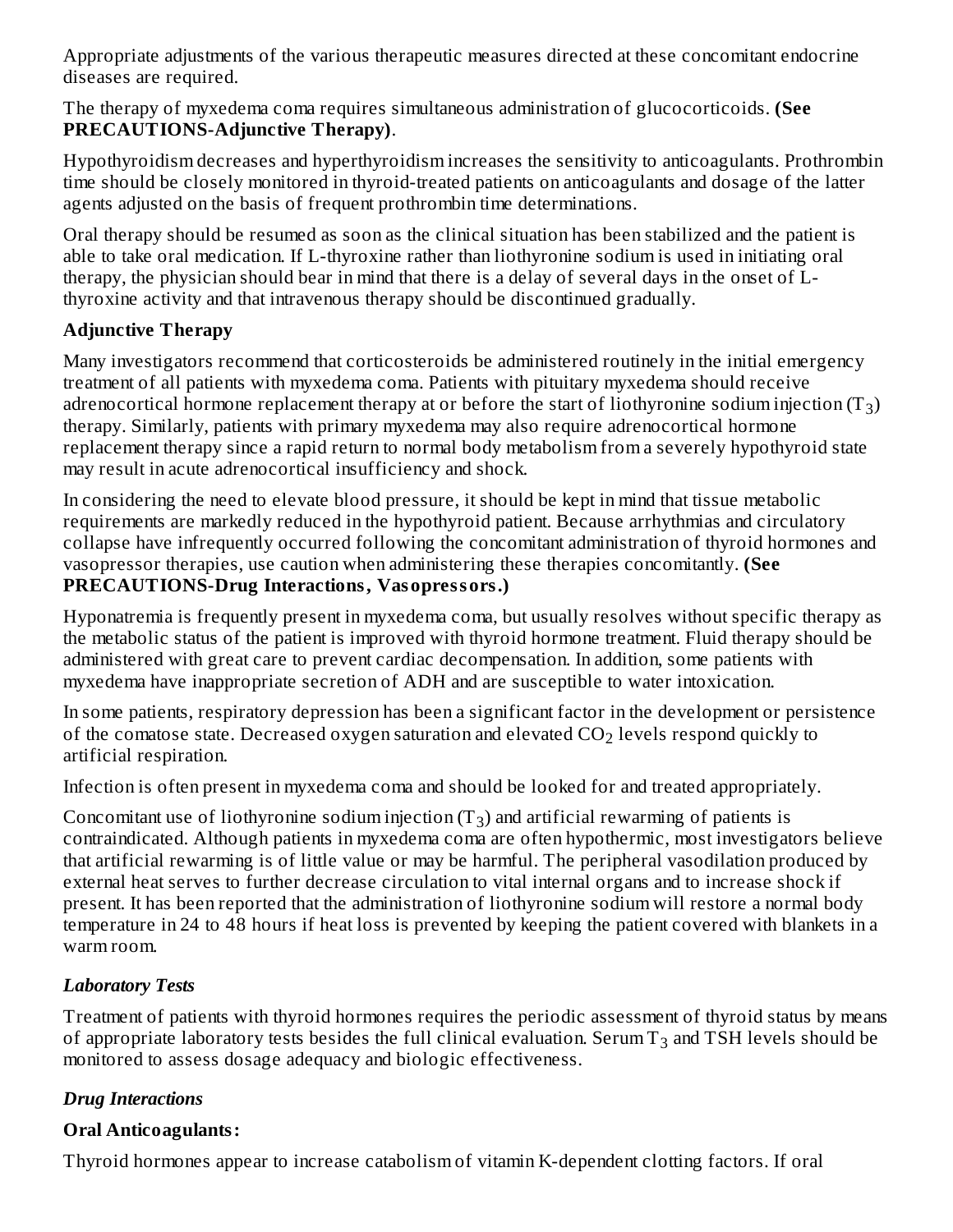Appropriate adjustments of the various therapeutic measures directed at these concomitant endocrine diseases are required.

The therapy of myxedema coma requires simultaneous administration of glucocorticoids. **(See PRECAUTIONS-Adjunctive Therapy)**.

Hypothyroidism decreases and hyperthyroidism increases the sensitivity to anticoagulants. Prothrombin time should be closely monitored in thyroid-treated patients on anticoagulants and dosage of the latter agents adjusted on the basis of frequent prothrombin time determinations.

Oral therapy should be resumed as soon as the clinical situation has been stabilized and the patient is able to take oral medication. If L-thyroxine rather than liothyronine sodium is used in initiating oral therapy, the physician should bear in mind that there is a delay of several days in the onset of Lthyroxine activity and that intravenous therapy should be discontinued gradually.

### **Adjunctive Therapy**

Many investigators recommend that corticosteroids be administered routinely in the initial emergency treatment of all patients with myxedema coma. Patients with pituitary myxedema should receive adrenocortical hormone replacement therapy at or before the start of liothyronine sodium injection (T $_{\rm 3})$ therapy. Similarly, patients with primary myxedema may also require adrenocortical hormone replacement therapy since a rapid return to normal body metabolism from a severely hypothyroid state may result in acute adrenocortical insufficiency and shock.

In considering the need to elevate blood pressure, it should be kept in mind that tissue metabolic requirements are markedly reduced in the hypothyroid patient. Because arrhythmias and circulatory collapse have infrequently occurred following the concomitant administration of thyroid hormones and vasopressor therapies, use caution when administering these therapies concomitantly. **(See PRECAUTIONS-Drug Interactions, Vasopressors.)**

Hyponatremia is frequently present in myxedema coma, but usually resolves without specific therapy as the metabolic status of the patient is improved with thyroid hormone treatment. Fluid therapy should be administered with great care to prevent cardiac decompensation. In addition, some patients with myxedema have inappropriate secretion of ADH and are susceptible to water intoxication.

In some patients, respiratory depression has been a significant factor in the development or persistence of the comatose state. Decreased oxygen saturation and elevated CO $_2$  levels respond quickly to artificial respiration.

Infection is often present in myxedema coma and should be looked for and treated appropriately.

Concomitant use of liothyronine sodium injection (T<sub>3</sub>) and artificial rewarming of patients is contraindicated. Although patients in myxedema coma are often hypothermic, most investigators believe that artificial rewarming is of little value or may be harmful. The peripheral vasodilation produced by external heat serves to further decrease circulation to vital internal organs and to increase shock if present. It has been reported that the administration of liothyronine sodium will restore a normal body temperature in 24 to 48 hours if heat loss is prevented by keeping the patient covered with blankets in a warm room.

# *Laboratory Tests*

Treatment of patients with thyroid hormones requires the periodic assessment of thyroid status by means of appropriate laboratory tests besides the full clinical evaluation. Serum  $\mathrm{T}_3$  and TSH levels should be monitored to assess dosage adequacy and biologic effectiveness.

# *Drug Interactions*

### **Oral Anticoagulants:**

Thyroid hormones appear to increase catabolism of vitamin K-dependent clotting factors. If oral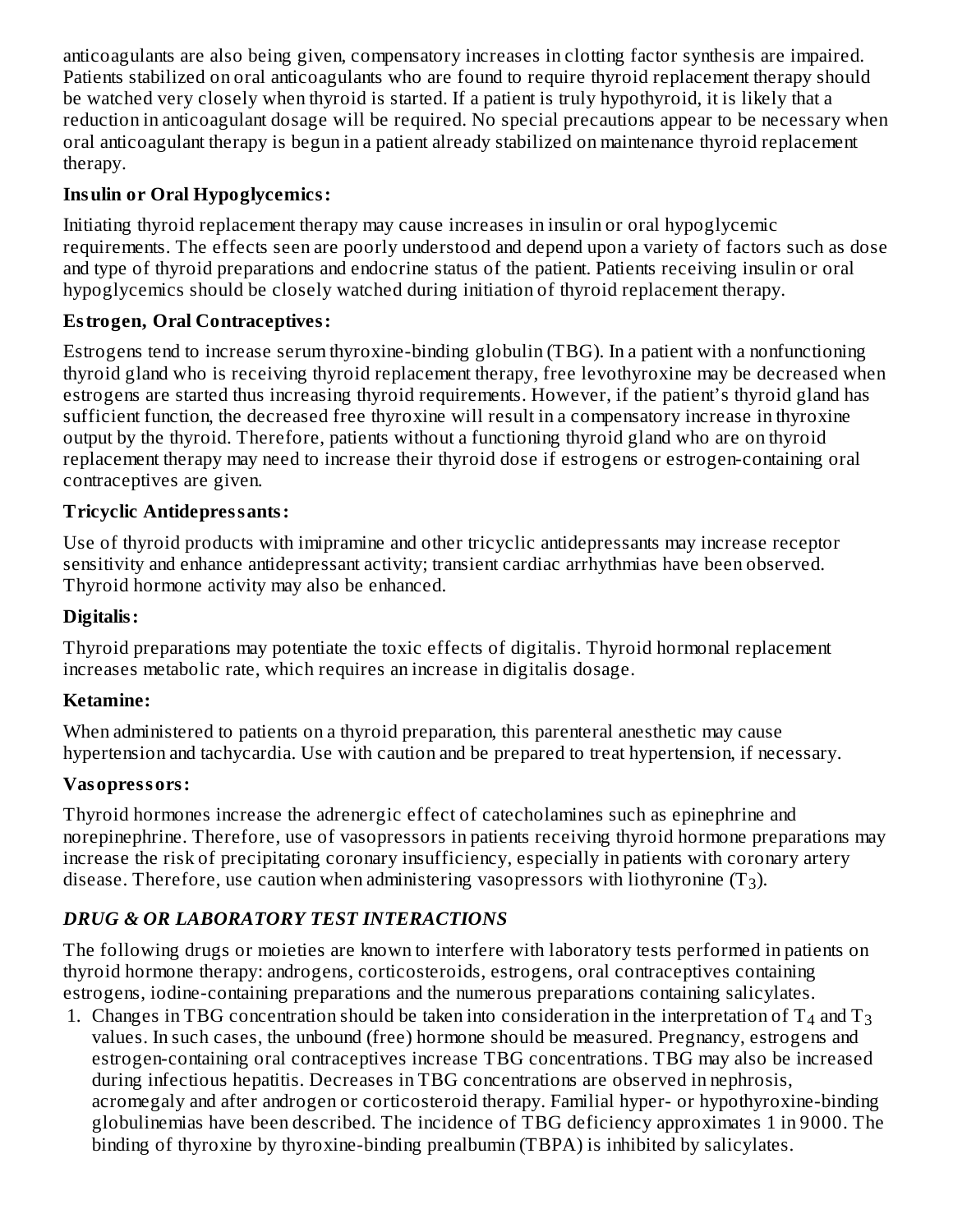anticoagulants are also being given, compensatory increases in clotting factor synthesis are impaired. Patients stabilized on oral anticoagulants who are found to require thyroid replacement therapy should be watched very closely when thyroid is started. If a patient is truly hypothyroid, it is likely that a reduction in anticoagulant dosage will be required. No special precautions appear to be necessary when oral anticoagulant therapy is begun in a patient already stabilized on maintenance thyroid replacement therapy.

### **Insulin or Oral Hypoglycemics:**

Initiating thyroid replacement therapy may cause increases in insulin or oral hypoglycemic requirements. The effects seen are poorly understood and depend upon a variety of factors such as dose and type of thyroid preparations and endocrine status of the patient. Patients receiving insulin or oral hypoglycemics should be closely watched during initiation of thyroid replacement therapy.

### **Estrogen, Oral Contraceptives:**

Estrogens tend to increase serum thyroxine-binding globulin (TBG). In a patient with a nonfunctioning thyroid gland who is receiving thyroid replacement therapy, free levothyroxine may be decreased when estrogens are started thus increasing thyroid requirements. However, if the patient's thyroid gland has sufficient function, the decreased free thyroxine will result in a compensatory increase in thyroxine output by the thyroid. Therefore, patients without a functioning thyroid gland who are on thyroid replacement therapy may need to increase their thyroid dose if estrogens or estrogen-containing oral contraceptives are given.

### **Tricyclic Antidepressants:**

Use of thyroid products with imipramine and other tricyclic antidepressants may increase receptor sensitivity and enhance antidepressant activity; transient cardiac arrhythmias have been observed. Thyroid hormone activity may also be enhanced.

## **Digitalis:**

Thyroid preparations may potentiate the toxic effects of digitalis. Thyroid hormonal replacement increases metabolic rate, which requires an increase in digitalis dosage.

# **Ketamine:**

When administered to patients on a thyroid preparation, this parenteral anesthetic may cause hypertension and tachycardia. Use with caution and be prepared to treat hypertension, if necessary.

# **Vasopressors:**

Thyroid hormones increase the adrenergic effect of catecholamines such as epinephrine and norepinephrine. Therefore, use of vasopressors in patients receiving thyroid hormone preparations may increase the risk of precipitating coronary insufficiency, especially in patients with coronary artery disease. Therefore, use caution when administering vasopressors with liothyronine (T<sub>3</sub>).

# *DRUG & OR LABORATORY TEST INTERACTIONS*

The following drugs or moieties are known to interfere with laboratory tests performed in patients on thyroid hormone therapy: androgens, corticosteroids, estrogens, oral contraceptives containing estrogens, iodine-containing preparations and the numerous preparations containing salicylates.

1. Changes in TBG concentration should be taken into consideration in the interpretation of T<sub>4</sub> and T<sub>3</sub> values. In such cases, the unbound (free) hormone should be measured. Pregnancy, estrogens and estrogen-containing oral contraceptives increase TBG concentrations. TBG may also be increased during infectious hepatitis. Decreases in TBG concentrations are observed in nephrosis, acromegaly and after androgen or corticosteroid therapy. Familial hyper- or hypothyroxine-binding globulinemias have been described. The incidence of TBG deficiency approximates 1 in 9000. The binding of thyroxine by thyroxine-binding prealbumin (TBPA) is inhibited by salicylates.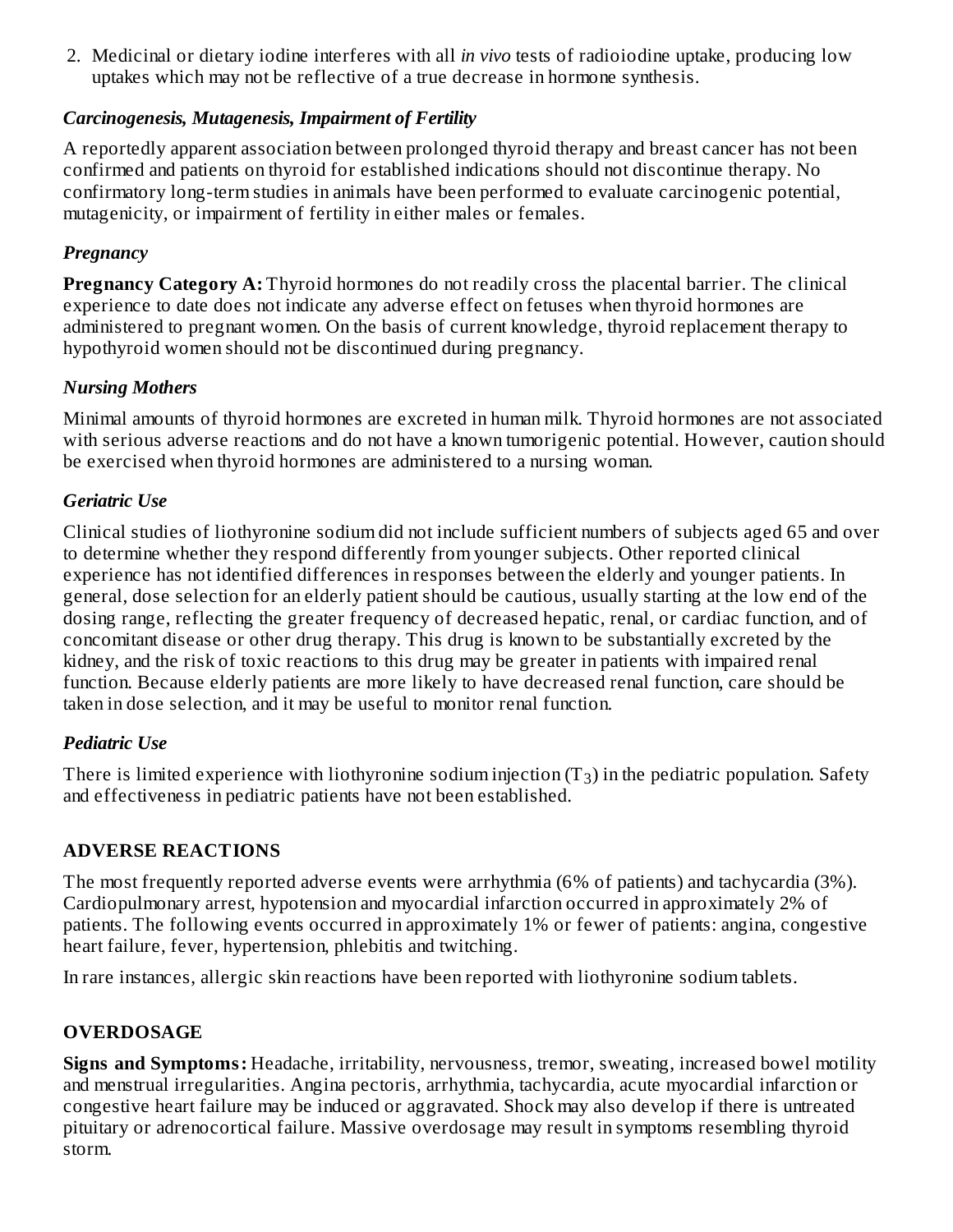2. Medicinal or dietary iodine interferes with all *in vivo* tests of radioiodine uptake, producing low uptakes which may not be reflective of a true decrease in hormone synthesis.

#### *Carcinogenesis, Mutagenesis, Impairment of Fertility*

A reportedly apparent association between prolonged thyroid therapy and breast cancer has not been confirmed and patients on thyroid for established indications should not discontinue therapy. No confirmatory long-term studies in animals have been performed to evaluate carcinogenic potential, mutagenicity, or impairment of fertility in either males or females.

### *Pregnancy*

**Pregnancy Category A:** Thyroid hormones do not readily cross the placental barrier. The clinical experience to date does not indicate any adverse effect on fetuses when thyroid hormones are administered to pregnant women. On the basis of current knowledge, thyroid replacement therapy to hypothyroid women should not be discontinued during pregnancy.

### *Nursing Mothers*

Minimal amounts of thyroid hormones are excreted in human milk. Thyroid hormones are not associated with serious adverse reactions and do not have a known tumorigenic potential. However, caution should be exercised when thyroid hormones are administered to a nursing woman.

### *Geriatric Use*

Clinical studies of liothyronine sodium did not include sufficient numbers of subjects aged 65 and over to determine whether they respond differently from younger subjects. Other reported clinical experience has not identified differences in responses between the elderly and younger patients. In general, dose selection for an elderly patient should be cautious, usually starting at the low end of the dosing range, reflecting the greater frequency of decreased hepatic, renal, or cardiac function, and of concomitant disease or other drug therapy. This drug is known to be substantially excreted by the kidney, and the risk of toxic reactions to this drug may be greater in patients with impaired renal function. Because elderly patients are more likely to have decreased renal function, care should be taken in dose selection, and it may be useful to monitor renal function.

### *Pediatric Use*

There is limited experience with liothyronine sodium injection (T $_{\rm 3}$ ) in the pediatric population. Safety and effectiveness in pediatric patients have not been established.

### **ADVERSE REACTIONS**

The most frequently reported adverse events were arrhythmia (6% of patients) and tachycardia (3%). Cardiopulmonary arrest, hypotension and myocardial infarction occurred in approximately 2% of patients. The following events occurred in approximately 1% or fewer of patients: angina, congestive heart failure, fever, hypertension, phlebitis and twitching.

In rare instances, allergic skin reactions have been reported with liothyronine sodium tablets.

### **OVERDOSAGE**

**Signs and Symptoms:** Headache, irritability, nervousness, tremor, sweating, increased bowel motility and menstrual irregularities. Angina pectoris, arrhythmia, tachycardia, acute myocardial infarction or congestive heart failure may be induced or aggravated. Shock may also develop if there is untreated pituitary or adrenocortical failure. Massive overdosage may result in symptoms resembling thyroid storm.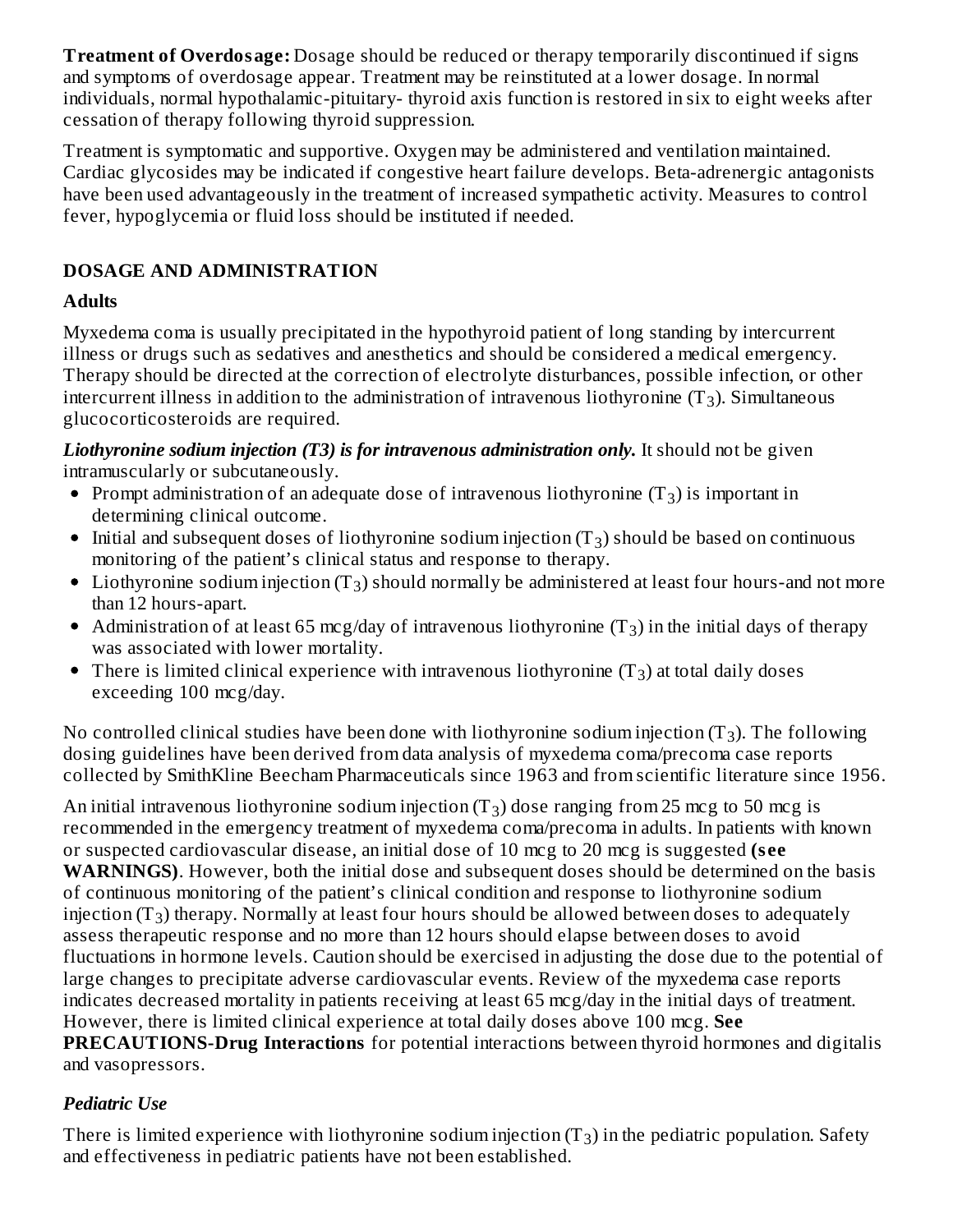**Treatment of Overdosage:** Dosage should be reduced or therapy temporarily discontinued if signs and symptoms of overdosage appear. Treatment may be reinstituted at a lower dosage. In normal individuals, normal hypothalamic-pituitary- thyroid axis function is restored in six to eight weeks after cessation of therapy following thyroid suppression.

Treatment is symptomatic and supportive. Oxygen may be administered and ventilation maintained. Cardiac glycosides may be indicated if congestive heart failure develops. Beta-adrenergic antagonists have been used advantageously in the treatment of increased sympathetic activity. Measures to control fever, hypoglycemia or fluid loss should be instituted if needed.

# **DOSAGE AND ADMINISTRATION**

## **Adults**

Myxedema coma is usually precipitated in the hypothyroid patient of long standing by intercurrent illness or drugs such as sedatives and anesthetics and should be considered a medical emergency. Therapy should be directed at the correction of electrolyte disturbances, possible infection, or other intercurrent illness in addition to the administration of intravenous liothyronine (T $_3$ ). Simultaneous glucocorticosteroids are required.

*Liothyronine sodium injection (T3) is for intravenous administration only.* It should not be given intramuscularly or subcutaneously.

- Prompt administration of an adequate dose of intravenous liothyronine  $(T_3)$  is important in determining clinical outcome.
- Initial and subsequent doses of liothyronine sodium injection (T $_3$ ) should be based on continuous monitoring of the patient's clinical status and response to therapy.
- Liothyronine sodium injection (T $_3$ ) should normally be administered at least four hours-and not more than 12 hours-apart.
- Administration of at least 65 mcg/day of intravenous liothyronine (T $_3$ ) in the initial days of therapy was associated with lower mortality.
- There is limited clinical experience with intravenous liothyronine (T $_3$ ) at total daily doses exceeding 100 mcg/day.

No controlled clinical studies have been done with liothyronine sodium injection (T<sub>3</sub>). The following dosing guidelines have been derived from data analysis of myxedema coma/precoma case reports collected by SmithKline Beecham Pharmaceuticals since 1963 and from scientific literature since 1956.

An initial intravenous liothyronine sodium injection (T3) dose ranging from 25 mcg to 50 mcg is recommended in the emergency treatment of myxedema coma/precoma in adults. In patients with known or suspected cardiovascular disease, an initial dose of 10 mcg to 20 mcg is suggested **(s ee WARNINGS)**. However, both the initial dose and subsequent doses should be determined on the basis of continuous monitoring of the patient's clinical condition and response to liothyronine sodium injection (T $_{\rm 3}$ ) therapy. Normally at least four hours should be allowed between doses to adequately assess therapeutic response and no more than 12 hours should elapse between doses to avoid fluctuations in hormone levels. Caution should be exercised in adjusting the dose due to the potential of large changes to precipitate adverse cardiovascular events. Review of the myxedema case reports indicates decreased mortality in patients receiving at least 65 mcg/day in the initial days of treatment. However, there is limited clinical experience at total daily doses above 100 mcg. **See PRECAUTIONS-Drug Interactions** for potential interactions between thyroid hormones and digitalis and vasopressors.

# *Pediatric Use*

There is limited experience with liothyronine sodium injection (T $_{\rm 3}$ ) in the pediatric population. Safety and effectiveness in pediatric patients have not been established.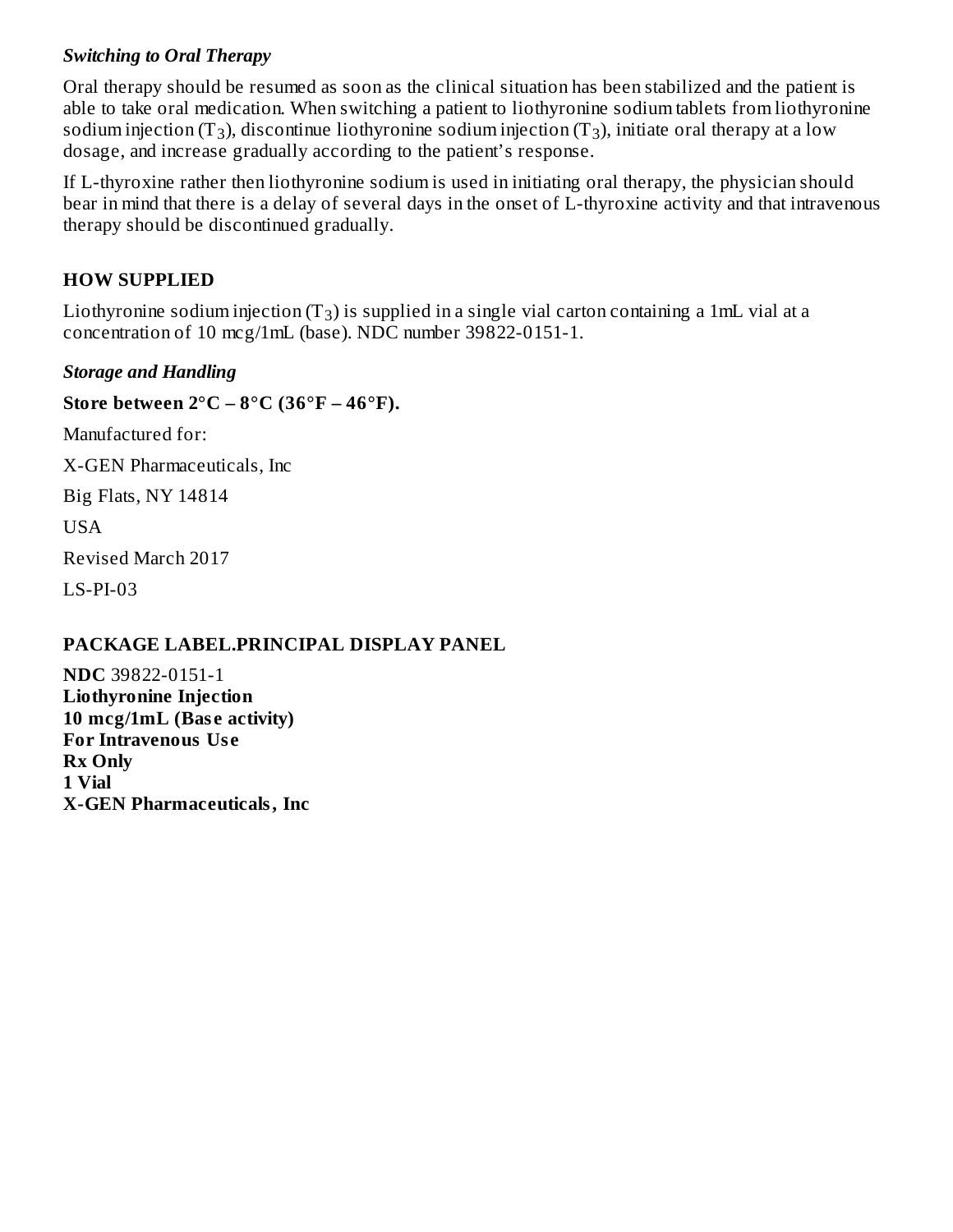#### *Switching to Oral Therapy*

Oral therapy should be resumed as soon as the clinical situation has been stabilized and the patient is able to take oral medication. When switching a patient to liothyronine sodium tablets from liothyronine sodium injection (T<sub>3</sub>), discontinue liothyronine sodium injection (T<sub>3</sub>), initiate oral therapy at a low dosage, and increase gradually according to the patient's response.

If L-thyroxine rather then liothyronine sodium is used in initiating oral therapy, the physician should bear in mind that there is a delay of several days in the onset of L-thyroxine activity and that intravenous therapy should be discontinued gradually.

#### **HOW SUPPLIED**

Liothyronine sodium injection (T3) is supplied in a single vial carton containing a 1mL vial at a concentration of 10 mcg/1mL (base). NDC number 39822-0151-1.

### *Storage and Handling*

**Store between 2°C – 8°C (36°F – 46°F).** Manufactured for: X-GEN Pharmaceuticals, Inc Big Flats, NY 14814 USA Revised March 2017 LS-PI-03

### **PACKAGE LABEL.PRINCIPAL DISPLAY PANEL**

**NDC** 39822-0151-1 **Liothyronine Injection 10 mcg/1mL (Bas e activity) For Intravenous Us e Rx Only 1 Vial X-GEN Pharmaceuticals, Inc**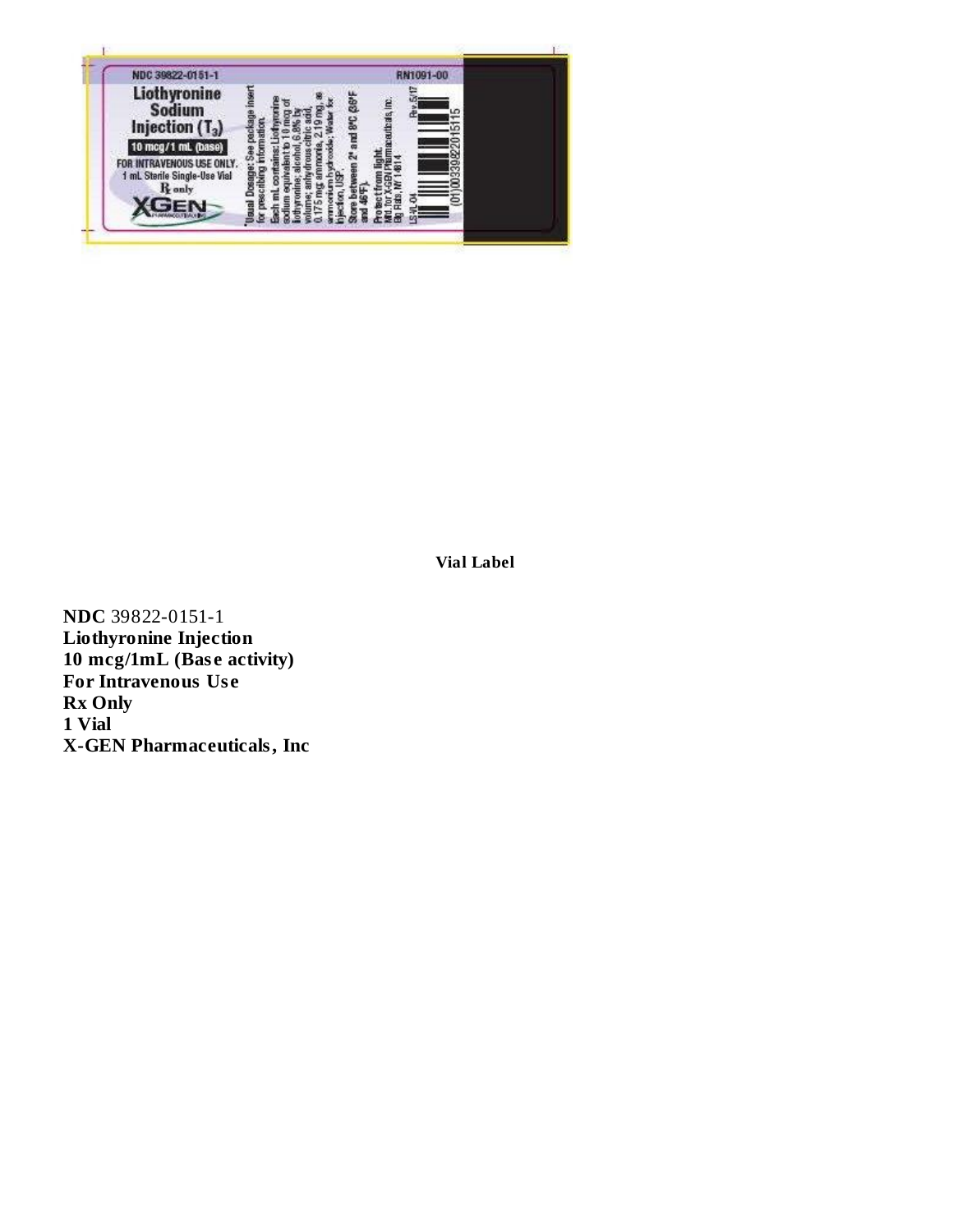

**Vial Label**

**NDC** 39822-0151-1 **Liothyronine Injection 10 mcg/1mL (Bas e activity) For Intravenous Us e Rx Only 1 Vial X-GEN Pharmaceuticals, Inc**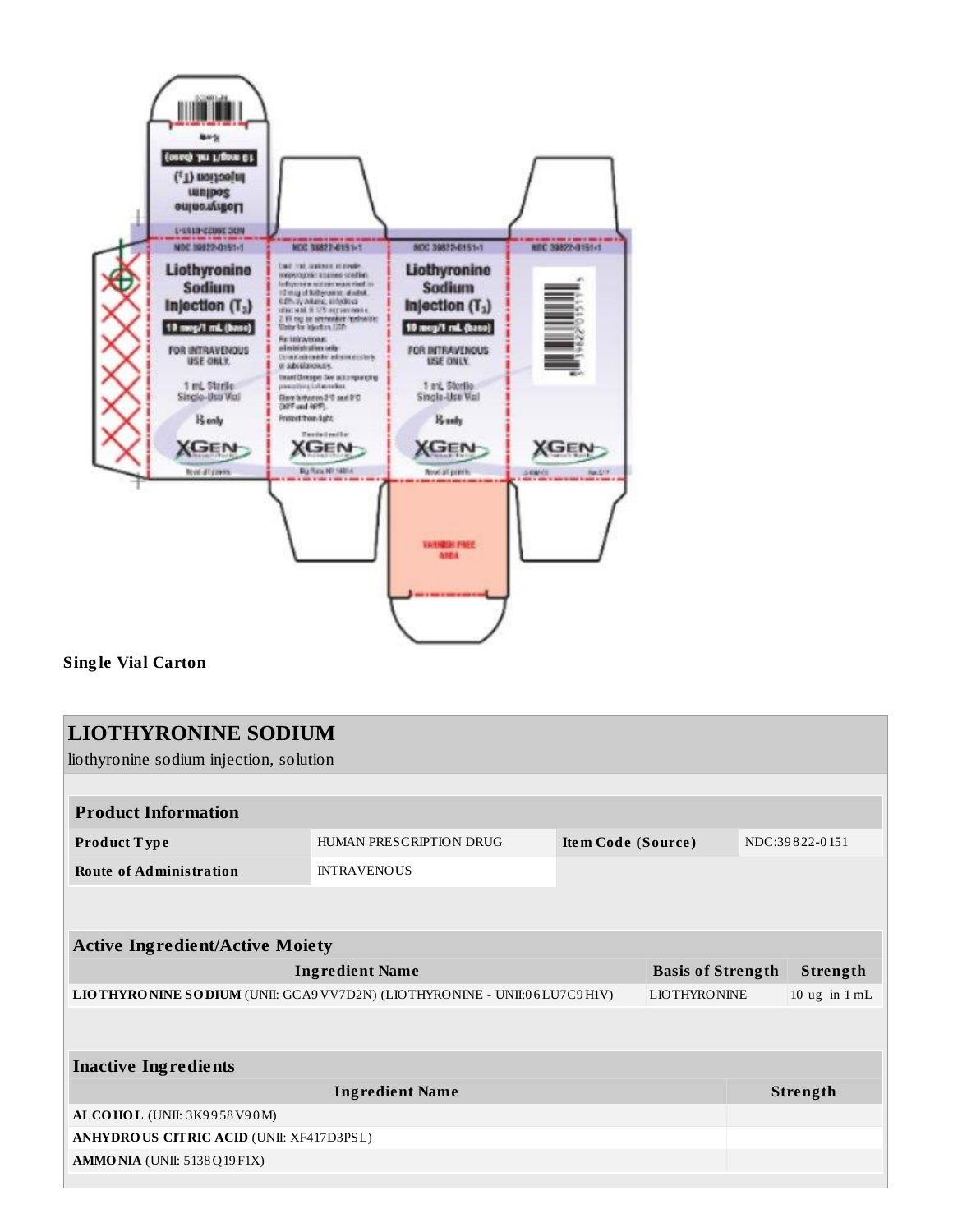

**Sing le Vial Carton**

| <b>LIOTHYRONINE SODIUM</b><br>liothyronine sodium injection, solution   |                         |                    |                     |                |                 |  |  |  |
|-------------------------------------------------------------------------|-------------------------|--------------------|---------------------|----------------|-----------------|--|--|--|
| <b>Product Information</b>                                              |                         |                    |                     |                |                 |  |  |  |
| Product Type                                                            | HUMAN PRESCRIPTION DRUG | Item Code (Source) |                     | NDC:39822-0151 |                 |  |  |  |
| <b>Route of Administration</b>                                          | <b>INTRAVENOUS</b>      |                    |                     |                |                 |  |  |  |
|                                                                         |                         |                    |                     |                |                 |  |  |  |
| <b>Active Ingredient/Active Moiety</b>                                  |                         |                    |                     |                |                 |  |  |  |
| <b>Ingredient Name</b><br><b>Basis of Strength</b>                      |                         |                    |                     |                | Strength        |  |  |  |
| LIOTHYRONINE SODIUM (UNII: GCA9VV7D2N) (LIOTHYRONINE - UNII:06LU7C9H1V) |                         |                    | <b>LIOTHYRONINE</b> |                | 10 ug in $1 mL$ |  |  |  |
|                                                                         |                         |                    |                     |                |                 |  |  |  |
| <b>Inactive Ingredients</b>                                             |                         |                    |                     |                |                 |  |  |  |
| <b>Ingredient Name</b>                                                  |                         |                    |                     |                | Strength        |  |  |  |
| ALCOHOL (UNII: 3K9958V90M)                                              |                         |                    |                     |                |                 |  |  |  |
| ANHYDROUS CITRIC ACID (UNII: XF417D3PSL)                                |                         |                    |                     |                |                 |  |  |  |
| <b>AMMONIA</b> (UNII: 5138Q19F1X)                                       |                         |                    |                     |                |                 |  |  |  |
|                                                                         |                         |                    |                     |                |                 |  |  |  |